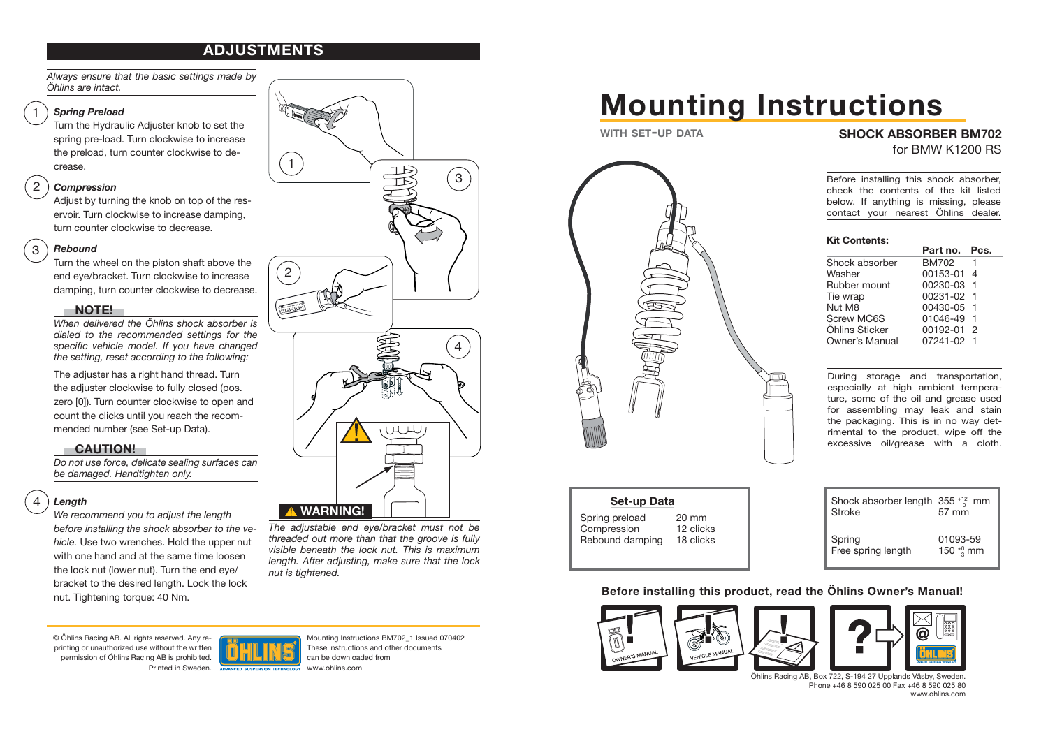## **ADJUSTMENTS**

*Always ensure that the basic settings made by Öhlins are intact.*

#### *Spring Preload*

1

2

Turn the Hydraulic Adjuster knob to set the spring pre-load. Turn clockwise to increase the preload, turn counter clockwise to decrease.

#### *Compression*

Adjust by turning the knob on top of the reservoir. Turn clockwise to increase damping, turn counter clockwise to decrease.

#### *Rebound*3

Turn the wheel on the piston shaft above the end eye/bracket. Turn clockwise to increase damping, turn counter clockwise to decrease.

#### **NOTE!**

*When delivered the Öhlins shock absorber is dialed to the recommended settings for the*  specific vehicle model. If you have changed *the setting, reset according to the following:*

The adjuster has a right hand thread. Turn the adjuster clockwise to fully closed (pos. zero [0]). Turn counter clockwise to open and count the clicks until you reach the recommended number (see Set-up Data).

#### **CAUTION!**

*Do not use force, delicate sealing surfaces can be damaged. Handtighten only.*

#### 4*Length*

*We recommend you to adjust the length before installing the shock absorber to the vehicle.* Use two wrenches. Hold the upper nut with one hand and at the same time loosen the lock nut (lower nut). Turn the end eye/ bracket to the desired length. Lock the lock nut. Tightening torque: 40 Nm.



*The adjustable end eye/bracket must not be threaded out more than that the groove is fully visible beneath the lock nut. This is maximum length. After adjusting, make sure that the lock nut is tightened.*

© Öhlins Racing AB. All rights reserved. Any reprinting or unauthorized use without the written permission of Öhlins Racing AB is prohibited. Printed in Sweden.



Mounting Instructions BM702\_1 Issued 070402 These instructions and other documents can be downloaded from www.ohlins.com

# **Mounting Instructions**

**WITH SET-UP DATA**



## **Set-up Data**

Spring preload 20 mm Compression 12 clicks Rebound damping 18 clicks

#### **SHOCK ABSORBER BM702** for BMW K1200 RS

Before installing this shock absorber, check the contents of the kit listed below. If anything is missing, please contact your nearest Öhlins dealer.

## **Kit Contents:**

| .              |              |               |
|----------------|--------------|---------------|
|                | Part no. Pcs |               |
| Shock absorber | <b>BM702</b> | 1             |
| Washer         | 00153-01 4   |               |
| Rubber mount   | 00230-03     | -1            |
| Tie wrap       | 00231-02 1   |               |
| Nut M8         | 00430-05 1   |               |
| Screw MC6S     | 01046-49     | -1            |
| Öhlins Sticker | 00192-01     | $\mathcal{P}$ |
| Owner's Manual | 07241-02     | -1            |
|                |              |               |

During storage and transportation, especially at high ambient temperature, some of the oil and grease used for assembling may leak and stain the packaging. This is in no way detrimental to the product, wipe off the excessive oil/grease with a cloth.

| Shock absorber length $355^{+12}_{0}$ mm<br><b>Stroke</b> | 57 mm          |  |
|-----------------------------------------------------------|----------------|--|
| Spring                                                    | 01093-59       |  |
| Free spring length                                        | 150 $^{+0}$ mm |  |

**Before installing this product, read the Öhlins Owner's Manual!**

 a shock absorber that is not approved by the vehicle affect the stability of your vehicle. Installing a shock absorber that is not may affect the stability of your vehicle. Installing a shock absorber that is not approved by the vehiclemanufacturerman<br>Installing a shock a shock a shock a shock a shock absorber that is not a shock absorber that is not a shock a  $v_\infty$  .





Öhlins Racing AB, Box 722, S-194 27 Upplands Väsby, Sweden. Phone +46 8 590 025 00 Fax +46 8 590 025 80 www.ohlins.com